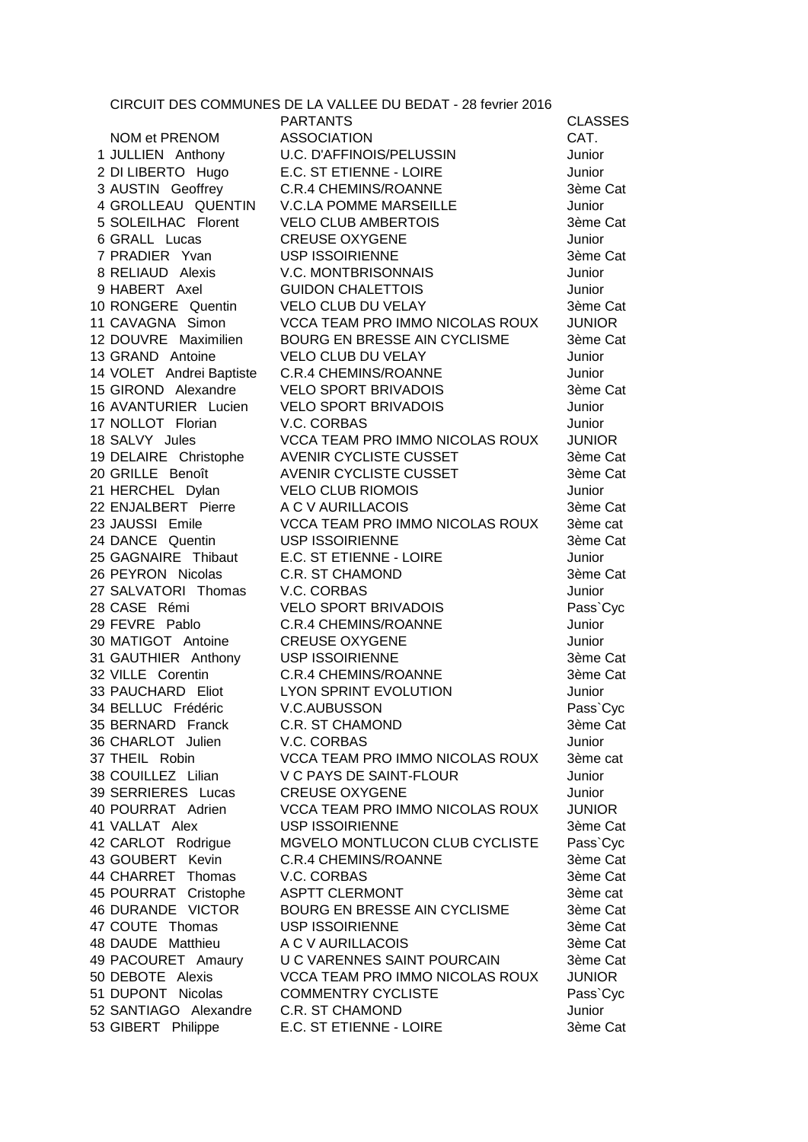|                                         | CIRCUIT DES COMMUNES DE LA VALLEE DU BEDAT - 28 fevrier 2016 |                |
|-----------------------------------------|--------------------------------------------------------------|----------------|
|                                         | <b>PARTANTS</b>                                              | <b>CLASSES</b> |
| NOM et PRENOM                           | <b>ASSOCIATION</b>                                           | CAT.           |
| 1 JULLIEN Anthony                       | U.C. D'AFFINOIS/PELUSSIN                                     | Junior         |
| 2 DI LIBERTO Hugo                       | E.C. ST ETIENNE - LOIRE                                      | Junior         |
| 3 AUSTIN Geoffrey<br>4 GROLLEAU QUENTIN | <b>C.R.4 CHEMINS/ROANNE</b>                                  | 3ème Cat       |
|                                         | <b>V.C.LA POMME MARSEILLE</b>                                | Junior         |
| 5 SOLEILHAC Florent                     | <b>VELO CLUB AMBERTOIS</b>                                   | 3ème Cat       |
| 6 GRALL Lucas                           | <b>CREUSE OXYGENE</b>                                        | Junior         |
| 7 PRADIER Yvan                          | <b>USP ISSOIRIENNE</b>                                       | 3ème Cat       |
| 8 RELIAUD Alexis                        | <b>V.C. MONTBRISONNAIS</b>                                   | Junior         |
| 9 HABERT Axel                           | <b>GUIDON CHALETTOIS</b>                                     | Junior         |
| 10 RONGERE Quentin                      | VELO CLUB DU VELAY                                           | 3ème Cat       |
| 11 CAVAGNA Simon                        | <b>VCCA TEAM PRO IMMO NICOLAS ROUX</b>                       | <b>JUNIOR</b>  |
| 12 DOUVRE Maximilien                    | BOURG EN BRESSE AIN CYCLISME                                 | 3ème Cat       |
| 13 GRAND Antoine                        | VELO CLUB DU VELAY                                           | Junior         |
| 14 VOLET Andrei Baptiste                | C.R.4 CHEMINS/ROANNE                                         | Junior         |
| 15 GIROND Alexandre                     | <b>VELO SPORT BRIVADOIS</b>                                  | 3ème Cat       |
| 16 AVANTURIER Lucien                    | <b>VELO SPORT BRIVADOIS</b>                                  | Junior         |
| 17 NOLLOT Florian                       | V.C. CORBAS                                                  | Junior         |
| 18 SALVY Jules                          | <b>VCCA TEAM PRO IMMO NICOLAS ROUX</b>                       | <b>JUNIOR</b>  |
| 19 DELAIRE Christophe                   | AVENIR CYCLISTE CUSSET                                       | 3ème Cat       |
| 20 GRILLE Benoît                        | AVENIR CYCLISTE CUSSET                                       | 3ème Cat       |
| 21 HERCHEL Dylan                        | <b>VELO CLUB RIOMOIS</b>                                     | Junior         |
| 22 ENJALBERT Pierre                     | A C V AURILLACOIS                                            | 3ème Cat       |
| 23 JAUSSI Emile                         | VCCA TEAM PRO IMMO NICOLAS ROUX                              | 3ème cat       |
| 24 DANCE Quentin                        | <b>USP ISSOIRIENNE</b>                                       | 3ème Cat       |
|                                         | 25 GAGNAIRE Thibaut E.C. ST ETIENNE - LOIRE                  | Junior         |
| 26 PEYRON Nicolas                       | <b>C.R. ST CHAMOND</b>                                       | 3ème Cat       |
| 27 SALVATORI Thomas V.C. CORBAS         |                                                              | Junior         |
| 28 CASE Rémi                            | <b>VELO SPORT BRIVADOIS</b>                                  | Pass`Cyc       |
| 29 FEVRE Pablo                          | <b>C.R.4 CHEMINS/ROANNE</b>                                  | Junior         |
| 30 MATIGOT Antoine                      | <b>CREUSE OXYGENE</b>                                        | Junior         |
| 31 GAUTHIER Anthony USP ISSOIRIENNE     |                                                              | 3ème Cat       |
| 32 VILLE Corentin                       | C.R.4 CHEMINS/ROANNE                                         | 3ème Cat       |
| 33 PAUCHARD Eliot                       | LYON SPRINT EVOLUTION                                        | Junior         |
| 34 BELLUC Frédéric                      | V.C.AUBUSSON                                                 | Pass`Cyc       |
| 35 BERNARD Franck                       | <b>C.R. ST CHAMOND</b>                                       | 3ème Cat       |
| 36 CHARLOT Julien                       | V.C. CORBAS                                                  | Junior         |
| 37 THEIL Robin                          | VCCA TEAM PRO IMMO NICOLAS ROUX                              | 3ème cat       |
| 38 COUILLEZ Lilian                      | V C PAYS DE SAINT-FLOUR                                      | Junior         |
| 39 SERRIERES Lucas                      | <b>CREUSE OXYGENE</b>                                        | Junior         |
| 40 POURRAT Adrien                       | VCCA TEAM PRO IMMO NICOLAS ROUX                              | <b>JUNIOR</b>  |
| 41 VALLAT Alex                          | <b>USP ISSOIRIENNE</b>                                       | 3ème Cat       |
| 42 CARLOT Rodrigue                      | MGVELO MONTLUCON CLUB CYCLISTE                               | Pass`Cyc       |
| 43 GOUBERT Kevin                        | <b>C.R.4 CHEMINS/ROANNE</b>                                  | 3ème Cat       |
| 44 CHARRET<br>Thomas                    | V.C. CORBAS                                                  | 3ème Cat       |
| 45 POURRAT Cristophe                    | <b>ASPTT CLERMONT</b>                                        | 3ème cat       |
| 46 DURANDE VICTOR                       | BOURG EN BRESSE AIN CYCLISME                                 | 3ème Cat       |
| 47 COUTE Thomas                         | <b>USP ISSOIRIENNE</b>                                       | 3ème Cat       |
| 48 DAUDE Matthieu                       | A C V AURILLACOIS                                            | 3ème Cat       |
| 49 PACOURET Amaury                      | U C VARENNES SAINT POURCAIN                                  | 3ème Cat       |
| 50 DEBOTE Alexis                        | <b>VCCA TEAM PRO IMMO NICOLAS ROUX</b>                       | <b>JUNIOR</b>  |
| 51 DUPONT Nicolas                       | <b>COMMENTRY CYCLISTE</b>                                    | Pass`Cyc       |
| 52 SANTIAGO Alexandre                   | <b>C.R. ST CHAMOND</b>                                       | Junior         |
| 53 GIBERT Philippe                      | E.C. ST ETIENNE - LOIRE                                      | 3ème Cat       |